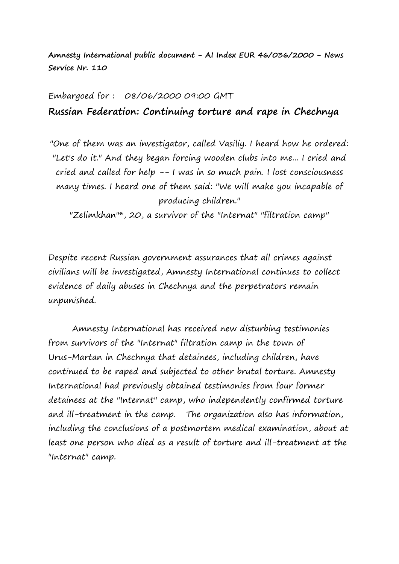**Amnesty International public document - AI Index EUR 46/036/2000 - News Service Nr. 110**

## Embargoed for : 08/06/2000 09:00 GMT **Russian Federation: Continuing torture and rape in Chechnya**

"One of them was an investigator, called Vasiliy. I heard how he ordered: "Let's do it." And they began forcing wooden clubs into me... I cried and cried and called for help -- I was in so much pain. I lost consciousness many times. I heard one of them said: "We will make you incapable of producing children."

"Zelimkhan"\*, 20, a survivor of the "Internat" "filtration camp"

Despite recent Russian government assurances that all crimes against civilians will be investigated, Amnesty International continues to collect evidence of daily abuses in Chechnya and the perpetrators remain unpunished.

Amnesty International has received new disturbing testimonies from survivors of the "Internat" filtration camp in the town of Urus-Martan in Chechnya that detainees, including children, have continued to be raped and subjected to other brutal torture. Amnesty International had previously obtained testimonies from four former detainees at the "Internat" camp, who independently confirmed torture and ill-treatment in the camp. The organization also has information, including the conclusions of a postmortem medical examination, about at least one person who died as a result of torture and ill-treatment at the "Internat" camp.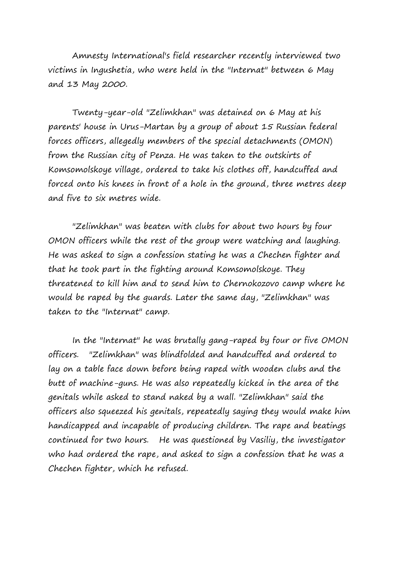Amnesty International's field researcher recently interviewed two victims in Ingushetia, who were held in the "Internat" between 6 May and 13 May 2000.

Twenty-year-old "Zelimkhan" was detained on 6 May at his parents' house in Urus-Martan by a group of about 15 Russian federal forces officers, allegedly members of the special detachments (OMON) from the Russian city of Penza. He was taken to the outskirts of Komsomolskoye village, ordered to take his clothes off, handcuffed and forced onto his knees in front of a hole in the ground, three metres deep and five to six metres wide.

"Zelimkhan" was beaten with clubs for about two hours by four OMON officers while the rest of the group were watching and laughing. He was asked to sign a confession stating he was a Chechen fighter and that he took part in the fighting around Komsomolskoye. They threatened to kill him and to send him to Chernokozovo camp where he would be raped by the guards. Later the same day, "Zelimkhan" was taken to the "Internat" camp.

In the "Internat" he was brutally gang-raped by four or five OMON officers. "Zelimkhan" was blindfolded and handcuffed and ordered to lay on a table face down before being raped with wooden clubs and the butt of machine-guns. He was also repeatedly kicked in the area of the genitals while asked to stand naked by a wall. "Zelimkhan" said the officers also squeezed his genitals, repeatedly saying they would make him handicapped and incapable of producing children. The rape and beatings continued for two hours. He was questioned by Vasiliy, the investigator who had ordered the rape, and asked to sign a confession that he was a Chechen fighter, which he refused.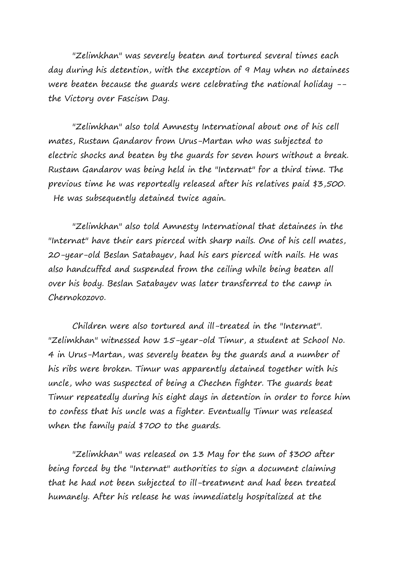"Zelimkhan" was severely beaten and tortured several times each day during his detention, with the exception of 9 May when no detainees were beaten because the quards were celebrating the national holiday -the Victory over Fascism Day.

"Zelimkhan" also told Amnesty International about one of his cell mates, Rustam Gandarov from Urus-Martan who was subjected to electric shocks and beaten by the guards for seven hours without a break. Rustam Gandarov was being held in the "Internat" for a third time. The previous time he was reportedly released after his relatives paid \$3,500. He was subsequently detained twice again.

"Zelimkhan" also told Amnesty International that detainees in the "Internat" have their ears pierced with sharp nails. One of his cell mates, 20-year-old Beslan Satabayev, had his ears pierced with nails. He was also handcuffed and suspended from the ceiling while being beaten all over his body. Beslan Satabayev was later transferred to the camp in Chernokozovo.

Children were also tortured and ill-treated in the "Internat". "Zelimkhan" witnessed how 15-year-old Timur, a student at School No. 4 in Urus-Martan, was severely beaten by the guards and a number of his ribs were broken. Timur was apparently detained together with his uncle, who was suspected of being a Chechen fighter. The guards beat Timur repeatedly during his eight days in detention in order to force him to confess that his uncle was a fighter. Eventually Timur was released when the family paid \$700 to the guards.

"Zelimkhan" was released on 13 May for the sum of \$300 after being forced by the "Internat" authorities to sign a document claiming that he had not been subjected to ill-treatment and had been treated humanely. After his release he was immediately hospitalized at the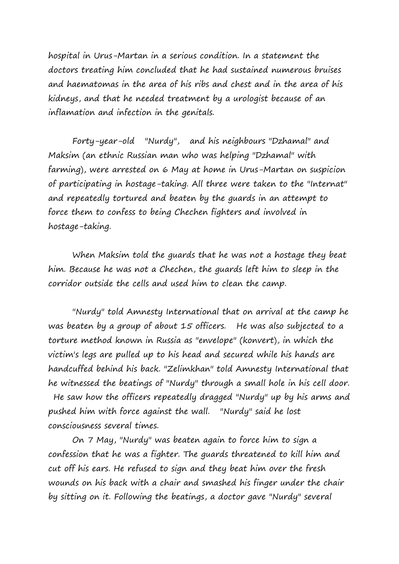hospital in Urus-Martan in a serious condition. In a statement the doctors treating him concluded that he had sustained numerous bruises and haematomas in the area of his ribs and chest and in the area of his kidneys, and that he needed treatment by a urologist because of an inflamation and infection in the genitals.

Forty-year-old "Nurdy", and his neighbours "Dzhamal" and Maksim (an ethnic Russian man who was helping "Dzhamal" with farming), were arrested on 6 May at home in Urus-Martan on suspicion of participating in hostage-taking. All three were taken to the "Internat" and repeatedly tortured and beaten by the guards in an attempt to force them to confess to being Chechen fighters and involved in hostage-taking.

When Maksim told the guards that he was not a hostage they beat him. Because he was not a Chechen, the guards left him to sleep in the corridor outside the cells and used him to clean the camp.

"Nurdy" told Amnesty International that on arrival at the camp he was beaten by a group of about 15 officers. He was also subjected to a torture method known in Russia as "envelope" (konvert), in which the victim's legs are pulled up to his head and secured while his hands are handcuffed behind his back. "Zelimkhan" told Amnesty International that he witnessed the beatings of "Nurdy" through a small hole in his cell door. He saw how the officers repeatedly dragged "Nurdy" up by his arms and pushed him with force against the wall. "Nurdy" said he lost consciousness several times.

On 7 May, "Nurdy" was beaten again to force him to sign a confession that he was a fighter. The guards threatened to kill him and cut off his ears. He refused to sign and they beat him over the fresh wounds on his back with a chair and smashed his finger under the chair by sitting on it. Following the beatings, a doctor gave "Nurdy" several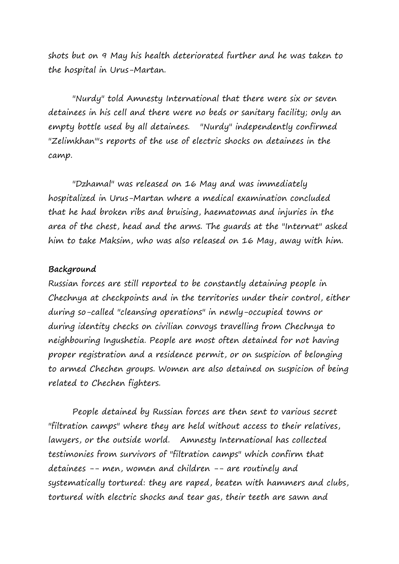shots but on 9 May his health deteriorated further and he was taken to the hospital in Urus-Martan.

"Nurdy" told Amnesty International that there were six or seven detainees in his cell and there were no beds or sanitary facility; only an empty bottle used by all detainees. "Nurdy" independently confirmed "Zelimkhan"'s reports of the use of electric shocks on detainees in the camp.

"Dzhamal" was released on 16 May and was immediately hospitalized in Urus-Martan where a medical examination concluded that he had broken ribs and bruising, haematomas and injuries in the area of the chest, head and the arms. The guards at the "Internat" asked him to take Maksim, who was also released on 16 May, away with him.

## **Background**

Russian forces are still reported to be constantly detaining people in Chechnya at checkpoints and in the territories under their control, either during so-called "cleansing operations" in newly-occupied towns or during identity checks on civilian convoys travelling from Chechnya to neighbouring Ingushetia. People are most often detained for not having proper registration and a residence permit, or on suspicion of belonging to armed Chechen groups. Women are also detained on suspicion of being related to Chechen fighters.

People detained by Russian forces are then sent to various secret "filtration camps" where they are held without access to their relatives, lawyers, or the outside world. Amnesty International has collected testimonies from survivors of "filtration camps" which confirm that detainees -- men, women and children -- are routinely and systematically tortured: they are raped, beaten with hammers and clubs, tortured with electric shocks and tear gas, their teeth are sawn and